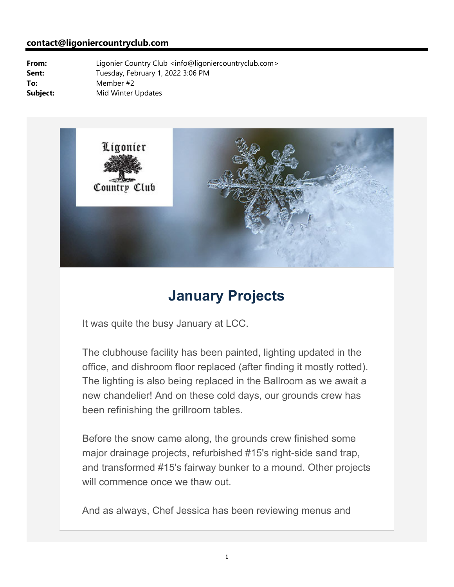#### **contact@ligoniercountryclub.com**

**From:** Ligonier Country Club <info@ligoniercountryclub.com> Sent: Tuesday, February 1, 2022 3:06 PM **To:** Member #2 **Subject:** Mid Winter Updates



## **January Projects**

It was quite the busy January at LCC.

The clubhouse facility has been painted, lighting updated in the office, and dishroom floor replaced (after finding it mostly rotted). The lighting is also being replaced in the Ballroom as we await a new chandelier! And on these cold days, our grounds crew has been refinishing the grillroom tables.

Before the snow came along, the grounds crew finished some major drainage projects, refurbished #15's right-side sand trap, and transformed #15's fairway bunker to a mound. Other projects will commence once we thaw out.

And as always, Chef Jessica has been reviewing menus and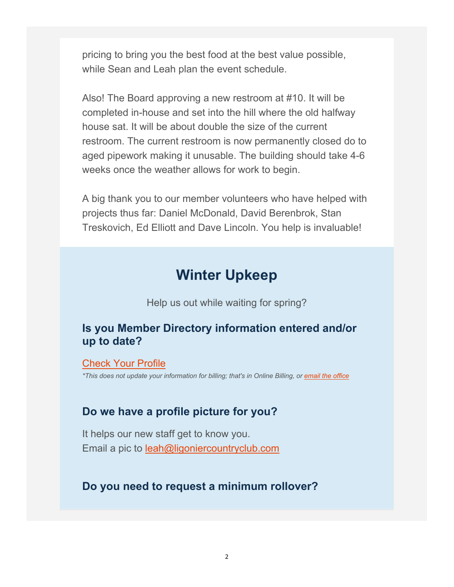pricing to bring you the best food at the best value possible, while Sean and Leah plan the event schedule.

Also! The Board approving a new restroom at #10. It will be completed in-house and set into the hill where the old halfway house sat. It will be about double the size of the current restroom. The current restroom is now permanently closed do to aged pipework making it unusable. The building should take 4-6 weeks once the weather allows for work to begin.

A big thank you to our member volunteers who have helped with projects thus far: Daniel McDonald, David Berenbrok, Stan Treskovich, Ed Elliott and Dave Lincoln. You help is invaluable!

## **Winter Upkeep**

Help us out while waiting for spring?

### **Is you Member Directory information entered and/or up to date?**

#### Check Your Profile

*\*This does not update your information for billing; that's in Online Billing, or email the office*

#### **Do we have a profile picture for you?**

It helps our new staff get to know you. Email a pic to leah@ligoniercountryclub.com

### **Do you need to request a minimum rollover?**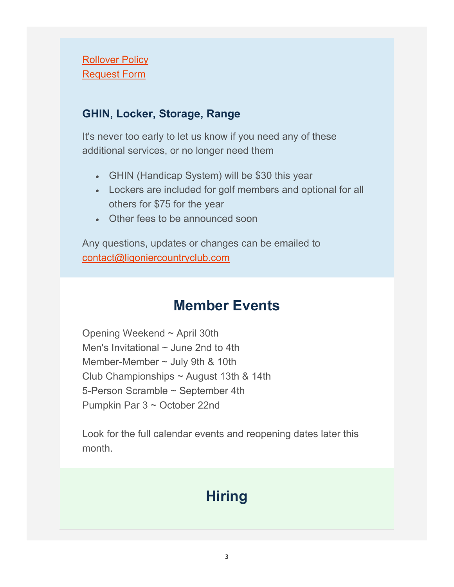### **Rollover Policy** Request Form

### **GHIN, Locker, Storage, Range**

It's never too early to let us know if you need any of these additional services, or no longer need them

- GHIN (Handicap System) will be \$30 this year
- Lockers are included for golf members and optional for all others for \$75 for the year
- Other fees to be announced soon

Any questions, updates or changes can be emailed to contact@ligoniercountryclub.com

## **Member Events**

Opening Weekend ~ April 30th Men's Invitational  $\sim$  June 2nd to 4th Member-Member ~ July 9th & 10th Club Championships ~ August 13th & 14th 5-Person Scramble ~ September 4th Pumpkin Par 3 ~ October 22nd

Look for the full calendar events and reopening dates later this month.

# **Hiring**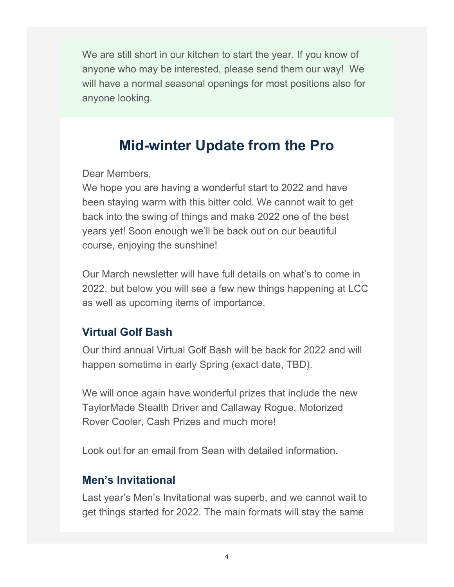We are still short in our kitchen to start the year. If you know of anyone who may be interested, please send them our way! We will have a normal seasonal openings for most positions also for anyone looking.

## **Mid-winter Update from the Pro**

Dear Members,

We hope you are having a wonderful start to 2022 and have been staying warm with this bitter cold. We cannot wait to get back into the swing of things and make 2022 one of the best years yet! Soon enough we'll be back out on our beautiful course, enjoying the sunshine!

Our March newsletter will have full details on what's to come in 2022, but below you will see a few new things happening at LCC as well as upcoming items of importance.

### **Virtual Golf Bash**

Our third annual Virtual Golf Bash will be back for 2022 and will happen sometime in early Spring (exact date, TBD).

We will once again have wonderful prizes that include the new TaylorMade Stealth Driver and Callaway Rogue, Motorized Rover Cooler, Cash Prizes and much more!

Look out for an email from Sean with detailed information.

### **Men's Invitational**

Last year's Men's Invitational was superb, and we cannot wait to get things started for 2022. The main formats will stay the same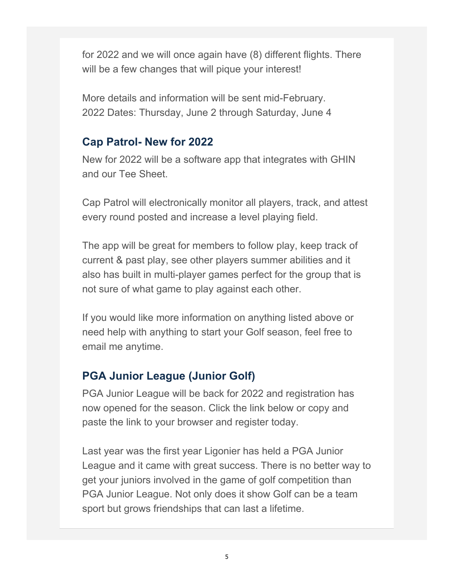for 2022 and we will once again have (8) different flights. There will be a few changes that will pique your interest!

More details and information will be sent mid-February. 2022 Dates: Thursday, June 2 through Saturday, June 4

### **Cap Patrol- New for 2022**

New for 2022 will be a software app that integrates with GHIN and our Tee Sheet.

Cap Patrol will electronically monitor all players, track, and attest every round posted and increase a level playing field.

The app will be great for members to follow play, keep track of current & past play, see other players summer abilities and it also has built in multi-player games perfect for the group that is not sure of what game to play against each other.

If you would like more information on anything listed above or need help with anything to start your Golf season, feel free to email me anytime.

### **PGA Junior League (Junior Golf)**

PGA Junior League will be back for 2022 and registration has now opened for the season. Click the link below or copy and paste the link to your browser and register today.

Last year was the first year Ligonier has held a PGA Junior League and it came with great success. There is no better way to get your juniors involved in the game of golf competition than PGA Junior League. Not only does it show Golf can be a team sport but grows friendships that can last a lifetime.